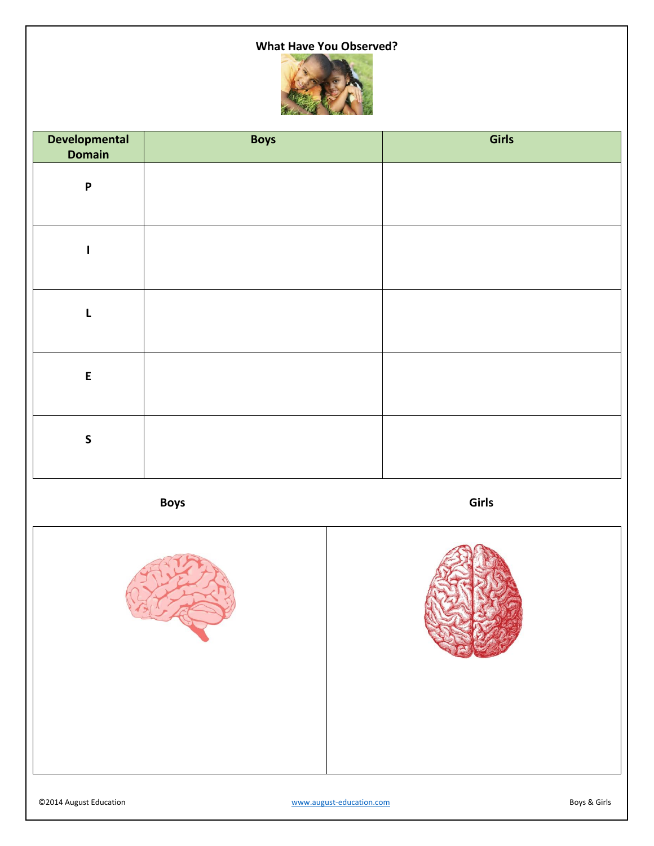# **What Have You Observed?**



| <b>Developmental</b><br><b>Domain</b> | <b>Boys</b> | Girls |
|---------------------------------------|-------------|-------|
| $\boldsymbol{\mathsf{P}}$             |             |       |
|                                       |             |       |
| L                                     |             |       |
| $\mathsf E$                           |             |       |
| $\mathsf{S}$                          |             |       |

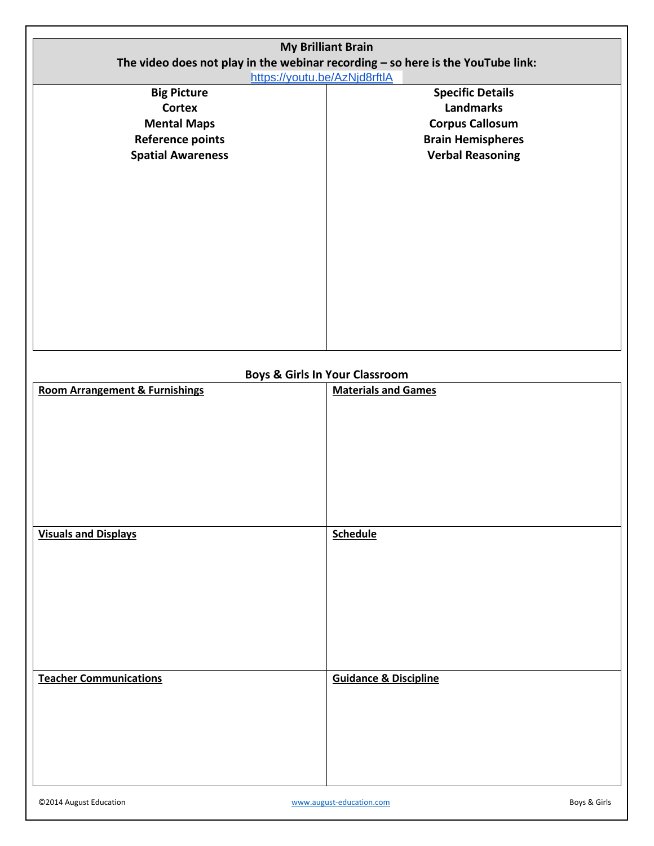| <b>My Brilliant Brain</b>                                                       |                            |  |  |  |
|---------------------------------------------------------------------------------|----------------------------|--|--|--|
| The video does not play in the webinar recording - so here is the YouTube link: |                            |  |  |  |
| https://youtu.be/AzNjd8rftlA                                                    |                            |  |  |  |
| <b>Big Picture</b>                                                              | <b>Specific Details</b>    |  |  |  |
| <b>Cortex</b>                                                                   | <b>Landmarks</b>           |  |  |  |
| <b>Mental Maps</b>                                                              | <b>Corpus Callosum</b>     |  |  |  |
| <b>Reference points</b>                                                         | <b>Brain Hemispheres</b>   |  |  |  |
| <b>Spatial Awareness</b>                                                        | <b>Verbal Reasoning</b>    |  |  |  |
|                                                                                 |                            |  |  |  |
|                                                                                 |                            |  |  |  |
|                                                                                 |                            |  |  |  |
|                                                                                 |                            |  |  |  |
|                                                                                 |                            |  |  |  |
|                                                                                 |                            |  |  |  |
|                                                                                 |                            |  |  |  |
|                                                                                 |                            |  |  |  |
|                                                                                 |                            |  |  |  |
|                                                                                 |                            |  |  |  |
|                                                                                 |                            |  |  |  |
|                                                                                 |                            |  |  |  |
|                                                                                 |                            |  |  |  |
|                                                                                 |                            |  |  |  |
|                                                                                 |                            |  |  |  |
| <b>Boys &amp; Girls In Your Classroom</b>                                       |                            |  |  |  |
| <b>Room Arrangement &amp; Furnishings</b>                                       | <b>Materials and Games</b> |  |  |  |
|                                                                                 |                            |  |  |  |
|                                                                                 |                            |  |  |  |
|                                                                                 |                            |  |  |  |
|                                                                                 |                            |  |  |  |
|                                                                                 |                            |  |  |  |
|                                                                                 |                            |  |  |  |
|                                                                                 |                            |  |  |  |

| <b>Visuals and Displays</b>   | <b>Schedule</b>                  |
|-------------------------------|----------------------------------|
|                               |                                  |
|                               |                                  |
|                               |                                  |
|                               |                                  |
| <b>Teacher Communications</b> | <b>Guidance &amp; Discipline</b> |
|                               |                                  |
|                               |                                  |
|                               |                                  |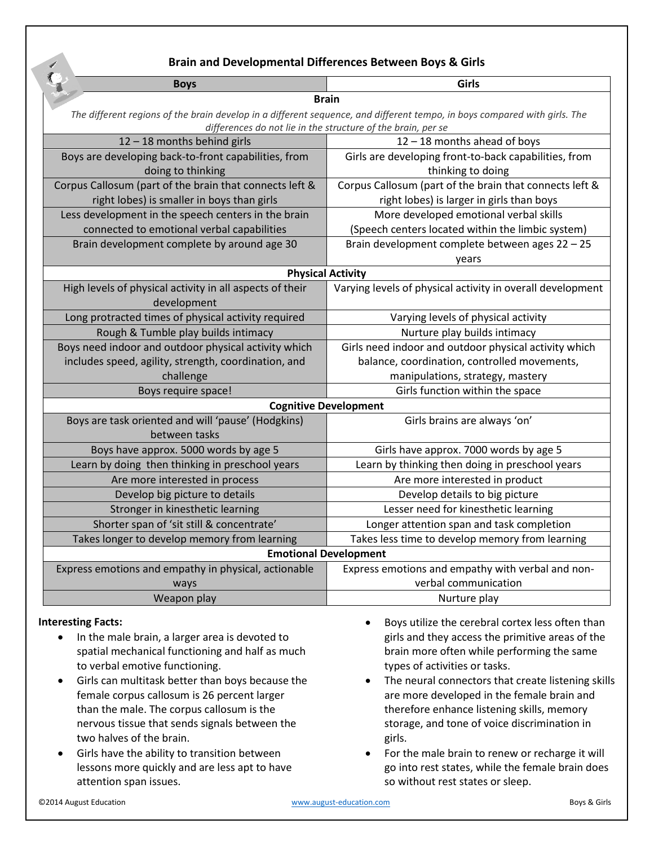# **Brain and Developmental Differences Between Boys & Girls**

| <b>Boys</b>                                                                                                               | Girls                                                        |  |  |  |
|---------------------------------------------------------------------------------------------------------------------------|--------------------------------------------------------------|--|--|--|
| <b>Brain</b>                                                                                                              |                                                              |  |  |  |
| The different regions of the brain develop in a different sequence, and different tempo, in boys compared with girls. The |                                                              |  |  |  |
|                                                                                                                           | differences do not lie in the structure of the brain, per se |  |  |  |
| 12 - 18 months behind girls                                                                                               | $12 - 18$ months ahead of boys                               |  |  |  |
| Boys are developing back-to-front capabilities, from                                                                      | Girls are developing front-to-back capabilities, from        |  |  |  |
| doing to thinking                                                                                                         | thinking to doing                                            |  |  |  |
| Corpus Callosum (part of the brain that connects left &                                                                   | Corpus Callosum (part of the brain that connects left &      |  |  |  |
| right lobes) is smaller in boys than girls                                                                                | right lobes) is larger in girls than boys                    |  |  |  |
| Less development in the speech centers in the brain                                                                       | More developed emotional verbal skills                       |  |  |  |
| connected to emotional verbal capabilities                                                                                | (Speech centers located within the limbic system)            |  |  |  |
| Brain development complete by around age 30                                                                               | Brain development complete between ages 22 - 25              |  |  |  |
|                                                                                                                           | years                                                        |  |  |  |
| <b>Physical Activity</b>                                                                                                  |                                                              |  |  |  |
| High levels of physical activity in all aspects of their                                                                  | Varying levels of physical activity in overall development   |  |  |  |
| development                                                                                                               |                                                              |  |  |  |
| Long protracted times of physical activity required                                                                       | Varying levels of physical activity                          |  |  |  |
| Rough & Tumble play builds intimacy                                                                                       | Nurture play builds intimacy                                 |  |  |  |
| Boys need indoor and outdoor physical activity which                                                                      | Girls need indoor and outdoor physical activity which        |  |  |  |
| includes speed, agility, strength, coordination, and                                                                      | balance, coordination, controlled movements,                 |  |  |  |
| challenge                                                                                                                 | manipulations, strategy, mastery                             |  |  |  |
| Boys require space!                                                                                                       | Girls function within the space                              |  |  |  |
| <b>Cognitive Development</b>                                                                                              |                                                              |  |  |  |
| Boys are task oriented and will 'pause' (Hodgkins)                                                                        | Girls brains are always 'on'                                 |  |  |  |
| between tasks                                                                                                             |                                                              |  |  |  |
| Boys have approx. 5000 words by age 5                                                                                     | Girls have approx. 7000 words by age 5                       |  |  |  |
| Learn by doing then thinking in preschool years                                                                           | Learn by thinking then doing in preschool years              |  |  |  |
| Are more interested in process                                                                                            | Are more interested in product                               |  |  |  |
| Develop big picture to details                                                                                            | Develop details to big picture                               |  |  |  |
| Stronger in kinesthetic learning                                                                                          | Lesser need for kinesthetic learning                         |  |  |  |
| Shorter span of 'sit still & concentrate'                                                                                 | Longer attention span and task completion                    |  |  |  |
| Takes longer to develop memory from learning                                                                              | Takes less time to develop memory from learning              |  |  |  |
| <b>Emotional Development</b>                                                                                              |                                                              |  |  |  |
| Express emotions and empathy in physical, actionable                                                                      | Express emotions and empathy with verbal and non-            |  |  |  |
| ways                                                                                                                      | verbal communication                                         |  |  |  |
| Weapon play                                                                                                               | Nurture play                                                 |  |  |  |

## **Interesting Facts:**

- In the male brain, a larger area is devoted to spatial mechanical functioning and half as much to verbal emotive functioning.
- Girls can multitask better than boys because the female corpus callosum is 26 percent larger than the male. The corpus callosum is the nervous tissue that sends signals between the two halves of the brain.
- Girls have the ability to transition between lessons more quickly and are less apt to have attention span issues.
- Boys utilize the cerebral cortex less often than girls and they access the primitive areas of the brain more often while performing the same types of activities or tasks.
- The neural connectors that create listening skills are more developed in the female brain and therefore enhance listening skills, memory storage, and tone of voice discrimination in girls.
- For the male brain to renew or recharge it will go into rest states, while the female brain does so without rest states or sleep.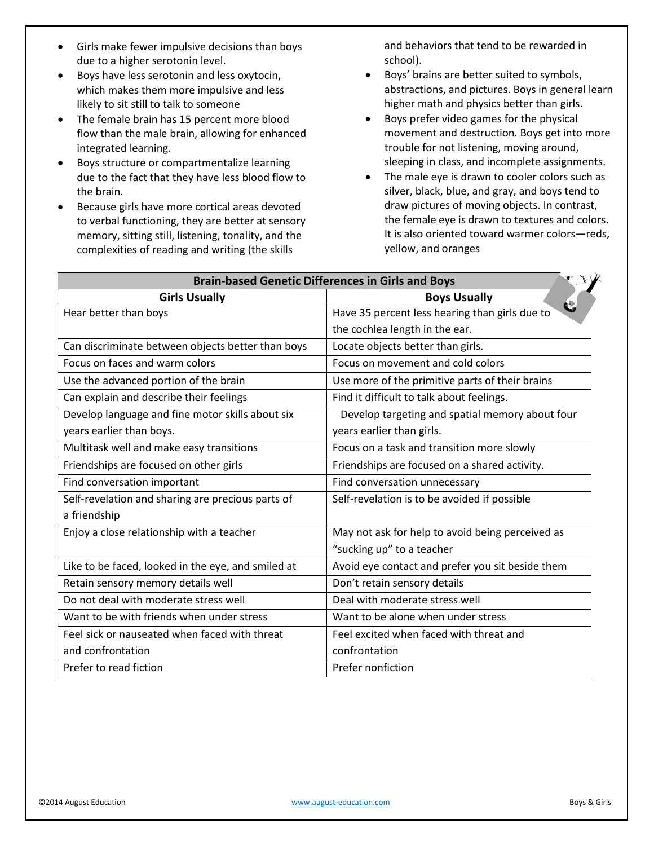- Girls make fewer impulsive decisions than boys due to a higher serotonin level.
- Boys have less serotonin and less oxytocin, which makes them more impulsive and less likely to sit still to talk to someone
- The female brain has 15 percent more blood flow than the male brain, allowing for enhanced integrated learning.
- Boys structure or compartmentalize learning due to the fact that they have less blood flow to the brain.
- Because girls have more cortical areas devoted to verbal functioning, they are better at sensory memory, sitting still, listening, tonality, and the complexities of reading and writing (the skills

and behaviors that tend to be rewarded in school).

- Boys' brains are better suited to symbols, abstractions, and pictures. Boys in general learn higher math and physics better than girls.
- Boys prefer video games for the physical movement and destruction. Boys get into more trouble for not listening, moving around, sleeping in class, and incomplete assignments.
- The male eye is drawn to cooler colors such as silver, black, blue, and gray, and boys tend to draw pictures of moving objects. In contrast, the female eye is drawn to textures and colors. It is also oriented toward warmer colors—reds, yellow, and oranges

| <b>Brain-based Genetic Differences in Girls and Boys</b> |                                                  |  |
|----------------------------------------------------------|--------------------------------------------------|--|
| <b>Girls Usually</b>                                     | <b>Boys Usually</b>                              |  |
| Hear better than boys                                    | Have 35 percent less hearing than girls due to   |  |
|                                                          | the cochlea length in the ear.                   |  |
| Can discriminate between objects better than boys        | Locate objects better than girls.                |  |
| Focus on faces and warm colors                           | Focus on movement and cold colors                |  |
| Use the advanced portion of the brain                    | Use more of the primitive parts of their brains  |  |
| Can explain and describe their feelings                  | Find it difficult to talk about feelings.        |  |
| Develop language and fine motor skills about six         | Develop targeting and spatial memory about four  |  |
| years earlier than boys.                                 | years earlier than girls.                        |  |
| Multitask well and make easy transitions                 | Focus on a task and transition more slowly       |  |
| Friendships are focused on other girls                   | Friendships are focused on a shared activity.    |  |
| Find conversation important                              | Find conversation unnecessary                    |  |
| Self-revelation and sharing are precious parts of        | Self-revelation is to be avoided if possible     |  |
| a friendship                                             |                                                  |  |
| Enjoy a close relationship with a teacher                | May not ask for help to avoid being perceived as |  |
|                                                          | "sucking up" to a teacher                        |  |
| Like to be faced, looked in the eye, and smiled at       | Avoid eye contact and prefer you sit beside them |  |
| Retain sensory memory details well                       | Don't retain sensory details                     |  |
| Do not deal with moderate stress well                    | Deal with moderate stress well                   |  |
| Want to be with friends when under stress                | Want to be alone when under stress               |  |
| Feel sick or nauseated when faced with threat            | Feel excited when faced with threat and          |  |
| and confrontation                                        | confrontation                                    |  |
| Prefer to read fiction                                   | Prefer nonfiction                                |  |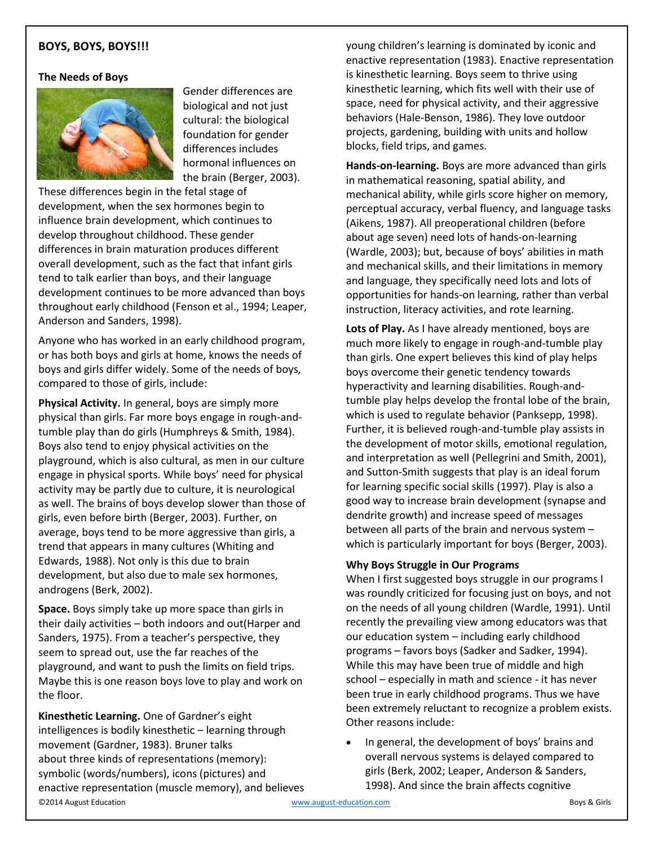## **BOYS, BOYS, BOYS!!!**

## **The Needs of Boys**



Gender differences are biological and not just cultural: the biological foundation for gender differences includes hormonal influences on the brain (Berger, 2003).

These differences begin in the fetal stage of development, when the sex hormones begin to influence brain development, which continues to develop throughout childhood. These gender differences in brain maturation produces different overall development, such as the fact that infant girls tend to talk earlier than boys, and their language development continues to be more advanced than boys throughout early childhood (Fenson et al., 1994; Leaper, Anderson and Sanders, 1998).

Anyone who has worked in an early childhood program, or has both boys and girls at home, knows the needs of boys and girls differ widely. Some of the needs of boys, compared to those of girls, include:

**Physical Activity.** In general, boys are simply more physical than girls. Far more boys engage in rough-andtumble play than do girls (Humphreys & Smith, 1984). Boys also tend to enjoy physical activities on the playground, which is also cultural, as men in our culture engage in physical sports. While boys' need for physical activity may be partly due to culture, it is neurological as well. The brains of boys develop slower than those of girls, even before birth (Berger, 2003). Further, on average, boys tend to be more aggressive than girls, a trend that appears in many cultures (Whiting and Edwards, 1988). Not only is this due to brain development, but also due to male sex hormones, androgens (Berk, 2002).

**Space.** Boys simply take up more space than girls in their daily activities – both indoors and out(Harper and Sanders, 1975). From a teacher's perspective, they seem to spread out, use the far reaches of the playground, and want to push the limits on field trips. Maybe this is one reason boys love to play and work on the floor.

©2014 August Education [www.august-education.com](http://www.august-education.com/) Boys & Girls **Kinesthetic Learning.** One of Gardner's eight intelligences is bodily kinesthetic – learning through movement (Gardner, 1983). Bruner talks about three kinds of representations (memory): symbolic (words/numbers), icons (pictures) and enactive representation (muscle memory), and believes

young children's learning is dominated by iconic and enactive representation (1983). Enactive representation is kinesthetic learning. Boys seem to thrive using kinesthetic learning, which fits well with their use of space, need for physical activity, and their aggressive behaviors (Hale-Benson, 1986). They love outdoor projects, gardening, building with units and hollow blocks, field trips, and games.

**Hands-on-learning.** Boys are more advanced than girls in mathematical reasoning, spatial ability, and mechanical ability, while girls score higher on memory, perceptual accuracy, verbal fluency, and language tasks (Aikens, 1987). All preoperational children (before about age seven) need lots of hands-on-learning (Wardle, 2003); but, because of boys' abilities in math and mechanical skills, and their limitations in memory and language, they specifically need lots and lots of opportunities for hands-on learning, rather than verbal instruction, literacy activities, and rote learning.

**Lots of Play.** As I have already mentioned, boys are much more likely to engage in rough-and-tumble play than girls. One expert believes this kind of play helps boys overcome their genetic tendency towards hyperactivity and learning disabilities. Rough-andtumble play helps develop the frontal lobe of the brain, which is used to regulate behavior (Panksepp, 1998). Further, it is believed rough-and-tumble play assists in the development of motor skills, emotional regulation, and interpretation as well (Pellegrini and Smith, 2001), and Sutton-Smith suggests that play is an ideal forum for learning specific social skills (1997). Play is also a good way to increase brain development (synapse and dendrite growth) and increase speed of messages between all parts of the brain and nervous system – which is particularly important for boys (Berger, 2003).

## **Why Boys Struggle in Our Programs**

When I first suggested boys struggle in our programs I was roundly criticized for focusing just on boys, and not on the needs of all young children (Wardle, 1991). Until recently the prevailing view among educators was that our education system – including early childhood programs – favors boys (Sadker and Sadker, 1994). While this may have been true of middle and high school – especially in math and science - it has never been true in early childhood programs. Thus we have been extremely reluctant to recognize a problem exists. Other reasons include:

In general, the development of boys' brains and overall nervous systems is delayed compared to girls (Berk, 2002; Leaper, Anderson & Sanders, 1998). And since the brain affects cognitive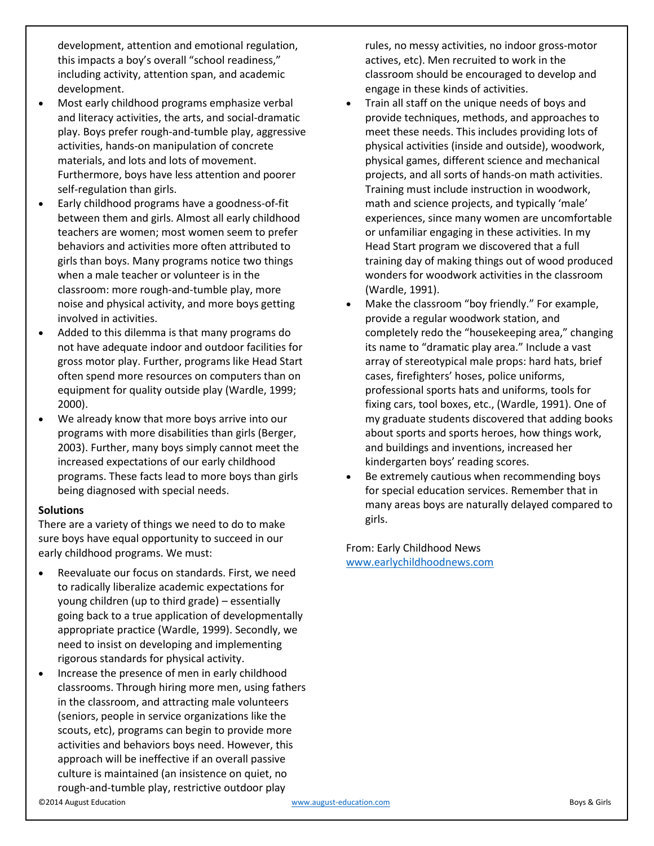development, attention and emotional regulation, this impacts a boy's overall "school readiness," including activity, attention span, and academic development.

- Most early childhood programs emphasize verbal and literacy activities, the arts, and social-dramatic play. Boys prefer rough-and-tumble play, aggressive activities, hands-on manipulation of concrete materials, and lots and lots of movement. Furthermore, boys have less attention and poorer self-regulation than girls.
- Early childhood programs have a goodness-of-fit between them and girls. Almost all early childhood teachers are women; most women seem to prefer behaviors and activities more often attributed to girls than boys. Many programs notice two things when a male teacher or volunteer is in the classroom: more rough-and-tumble play, more noise and physical activity, and more boys getting involved in activities.
- Added to this dilemma is that many programs do not have adequate indoor and outdoor facilities for gross motor play. Further, programs like Head Start often spend more resources on computers than on equipment for quality outside play (Wardle, 1999; 2000).
- We already know that more boys arrive into our programs with more disabilities than girls (Berger, 2003). Further, many boys simply cannot meet the increased expectations of our early childhood programs. These facts lead to more boys than girls being diagnosed with special needs.

## **Solutions**

There are a variety of things we need to do to make sure boys have equal opportunity to succeed in our early childhood programs. We must:

- Reevaluate our focus on standards. First, we need to radically liberalize academic expectations for young children (up to third grade) – essentially going back to a true application of developmentally appropriate practice (Wardle, 1999). Secondly, we need to insist on developing and implementing rigorous standards for physical activity.
- Increase the presence of men in early childhood classrooms. Through hiring more men, using fathers in the classroom, and attracting male volunteers (seniors, people in service organizations like the scouts, etc), programs can begin to provide more activities and behaviors boys need. However, this approach will be ineffective if an overall passive culture is maintained (an insistence on quiet, no rough-and-tumble play, restrictive outdoor play

rules, no messy activities, no indoor gross-motor actives, etc). Men recruited to work in the classroom should be encouraged to develop and engage in these kinds of activities.

- Train all staff on the unique needs of boys and provide techniques, methods, and approaches to meet these needs. This includes providing lots of physical activities (inside and outside), woodwork, physical games, different science and mechanical projects, and all sorts of hands-on math activities. Training must include instruction in woodwork, math and science projects, and typically 'male' experiences, since many women are uncomfortable or unfamiliar engaging in these activities. In my Head Start program we discovered that a full training day of making things out of wood produced wonders for woodwork activities in the classroom (Wardle, 1991).
- Make the classroom "boy friendly." For example, provide a regular woodwork station, and completely redo the "housekeeping area," changing its name to "dramatic play area." Include a vast array of stereotypical male props: hard hats, brief cases, firefighters' hoses, police uniforms, professional sports hats and uniforms, tools for fixing cars, tool boxes, etc., (Wardle, 1991). One of my graduate students discovered that adding books about sports and sports heroes, how things work, and buildings and inventions, increased her kindergarten boys' reading scores.
- Be extremely cautious when recommending boys for special education services. Remember that in many areas boys are naturally delayed compared to girls.

From: Early Childhood News [www.earlychildhoodnews.com](http://www.earlychildhoodnews.com/)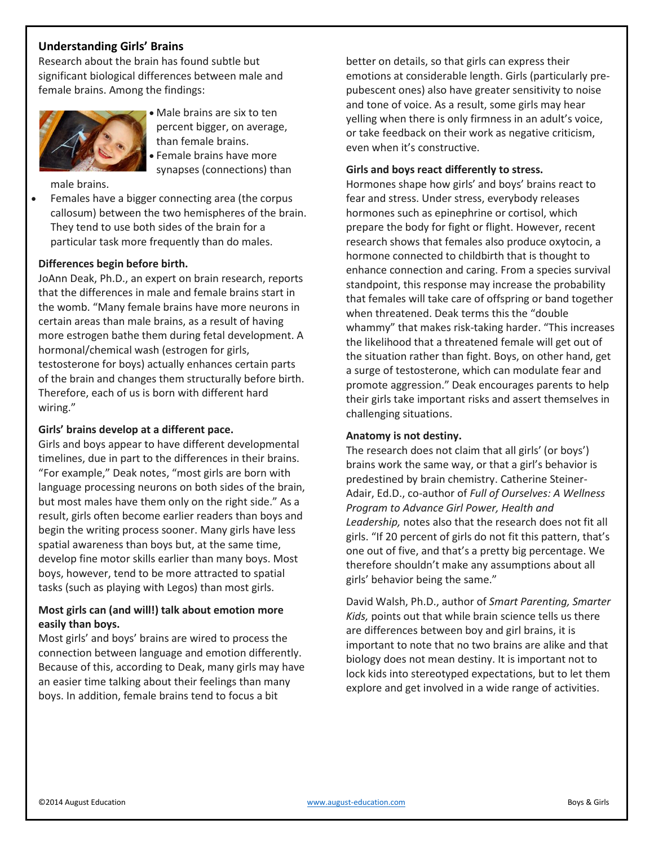# **Understanding Girls' Brains**

Research about the brain has found subtle but significant biological differences between male and female brains. Among the findings:



- Male brains are six to ten percent bigger, on average, than female brains.
- Female brains have more synapses (connections) than

male brains.

• Females have a bigger connecting area (the corpus callosum) between the two hemispheres of the brain. They tend to use both sides of the brain for a particular task more frequently than do males.

#### **Differences begin before birth.**

JoAnn Deak, Ph.D., an expert on brain research, reports that the differences in male and female brains start in the womb. "Many female brains have more neurons in certain areas than male brains, as a result of having more estrogen bathe them during fetal development. A hormonal/chemical wash (estrogen for girls, testosterone for boys) actually enhances certain parts of the brain and changes them structurally before birth. Therefore, each of us is born with different hard wiring."

#### **Girls' brains develop at a different pace.**

Girls and boys appear to have different developmental timelines, due in part to the differences in their brains. "For example," Deak notes, "most girls are born with language processing neurons on both sides of the brain, but most males have them only on the right side." As a result, girls often become earlier readers than boys and begin the writing process sooner. Many girls have less spatial awareness than boys but, at the same time, develop fine motor skills earlier than many boys. Most boys, however, tend to be more attracted to spatial tasks (such as playing with Legos) than most girls.

## **Most girls can (and will!) talk about emotion more easily than boys.**

Most girls' and boys' brains are wired to process the connection between language and emotion differently. Because of this, according to Deak, many girls may have an easier time talking about their feelings than many boys. In addition, female brains tend to focus a bit

better on details, so that girls can express their emotions at considerable length. Girls (particularly prepubescent ones) also have greater sensitivity to noise and tone of voice. As a result, some girls may hear yelling when there is only firmness in an adult's voice, or take feedback on their work as negative criticism, even when it's constructive.

## **Girls and boys react differently to stress.**

Hormones shape how girls' and boys' brains react to fear and stress. Under stress, everybody releases hormones such as epinephrine or cortisol, which prepare the body for fight or flight. However, recent research shows that females also produce oxytocin, a hormone connected to childbirth that is thought to enhance connection and caring. From a species survival standpoint, this response may increase the probability that females will take care of offspring or band together when threatened. Deak terms this the "double whammy" that makes risk-taking harder. "This increases the likelihood that a threatened female will get out of the situation rather than fight. Boys, on other hand, get a surge of testosterone, which can modulate fear and promote aggression." Deak encourages parents to help their girls take important risks and assert themselves in challenging situations.

#### **Anatomy is not destiny.**

The research does not claim that all girls' (or boys') brains work the same way, or that a girl's behavior is predestined by brain chemistry. Catherine Steiner-Adair, Ed.D., co-author of *Full of Ourselves: A Wellness Program to Advance Girl Power, Health and Leadership,* notes also that the research does not fit all girls. "If 20 percent of girls do not fit this pattern, that's one out of five, and that's a pretty big percentage. We therefore shouldn't make any assumptions about all girls' behavior being the same."

David Walsh, Ph.D., author of *Smart Parenting, Smarter Kids,* points out that while brain science tells us there are differences between boy and girl brains, it is important to note that no two brains are alike and that biology does not mean destiny. It is important not to lock kids into stereotyped expectations, but to let them explore and get involved in a wide range of activities.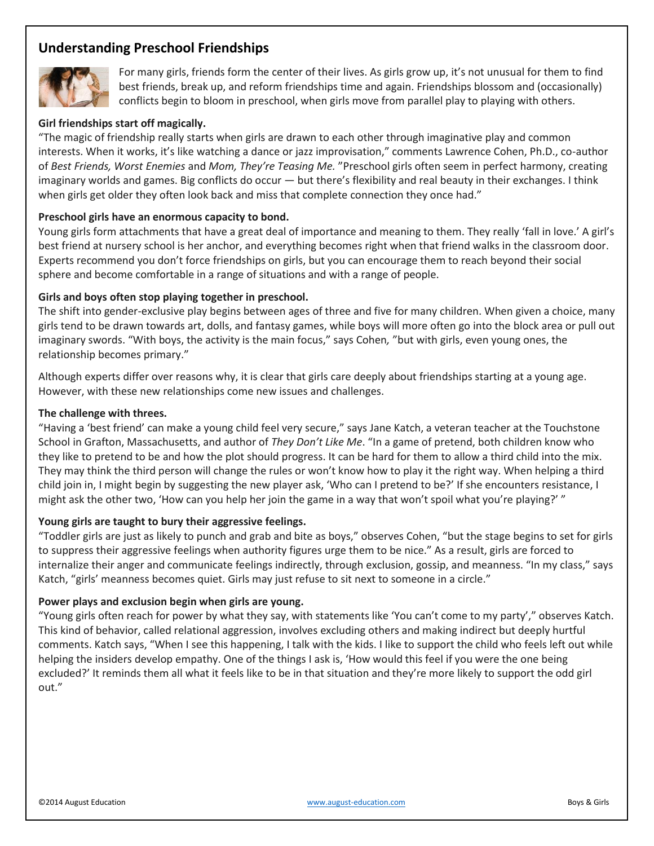# **Understanding Preschool Friendships**



For many girls, friends form the center of their lives. As girls grow up, it's not unusual for them to find best friends, break up, and reform friendships time and again. Friendships blossom and (occasionally) conflicts begin to bloom in preschool, when girls move from parallel play to playing with others.

## **Girl friendships start off magically.**

"The magic of friendship really starts when girls are drawn to each other through imaginative play and common interests. When it works, it's like watching a dance or jazz improvisation," comments Lawrence Cohen, Ph.D., co-author of *Best Friends, Worst Enemies* and *Mom, They're Teasing Me.* "Preschool girls often seem in perfect harmony, creating imaginary worlds and games. Big conflicts do occur — but there's flexibility and real beauty in their exchanges. I think when girls get older they often look back and miss that complete connection they once had."

## **Preschool girls have an enormous capacity to bond.**

Young girls form attachments that have a great deal of importance and meaning to them. They really 'fall in love.' A girl's best friend at nursery school is her anchor, and everything becomes right when that friend walks in the classroom door. Experts recommend you don't force friendships on girls, but you can encourage them to reach beyond their social sphere and become comfortable in a range of situations and with a range of people.

#### **Girls and boys often stop playing together in preschool.**

The shift into gender-exclusive play begins between ages of three and five for many children. When given a choice, many girls tend to be drawn towards art, dolls, and fantasy games, while boys will more often go into the block area or pull out imaginary swords. "With boys, the activity is the main focus," says Cohen*,* "but with girls, even young ones, the relationship becomes primary."

Although experts differ over reasons why, it is clear that girls care deeply about friendships starting at a young age. However, with these new relationships come new issues and challenges.

#### **The challenge with threes.**

"Having a 'best friend' can make a young child feel very secure," says Jane Katch, a veteran teacher at the Touchstone School in Grafton, Massachusetts, and author of *They Don't Like Me*. "In a game of pretend, both children know who they like to pretend to be and how the plot should progress. It can be hard for them to allow a third child into the mix. They may think the third person will change the rules or won't know how to play it the right way. When helping a third child join in, I might begin by suggesting the new player ask, 'Who can I pretend to be?' If she encounters resistance, I might ask the other two, 'How can you help her join the game in a way that won't spoil what you're playing?' "

#### **Young girls are taught to bury their aggressive feelings.**

"Toddler girls are just as likely to punch and grab and bite as boys," observes Cohen, "but the stage begins to set for girls to suppress their aggressive feelings when authority figures urge them to be nice." As a result, girls are forced to internalize their anger and communicate feelings indirectly, through exclusion, gossip, and meanness. "In my class," says Katch, "girls' meanness becomes quiet. Girls may just refuse to sit next to someone in a circle."

## **Power plays and exclusion begin when girls are young.**

"Young girls often reach for power by what they say, with statements like 'You can't come to my party'," observes Katch. This kind of behavior, called relational aggression, involves excluding others and making indirect but deeply hurtful comments. Katch says, "When I see this happening, I talk with the kids. I like to support the child who feels left out while helping the insiders develop empathy. One of the things I ask is, 'How would this feel if you were the one being excluded?' It reminds them all what it feels like to be in that situation and they're more likely to support the odd girl out."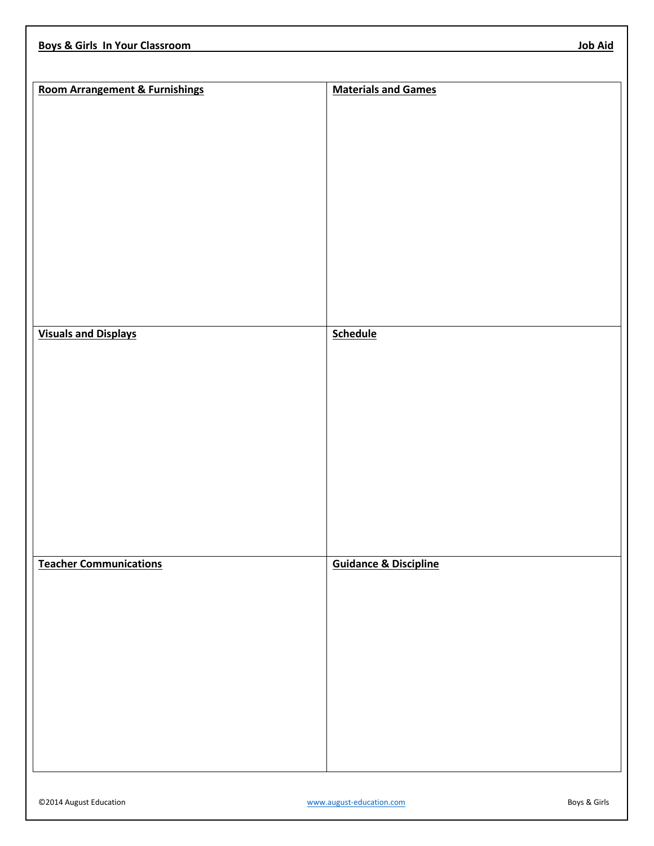| <b>Room Arrangement &amp; Furnishings</b> | <b>Materials and Games</b>       |
|-------------------------------------------|----------------------------------|
|                                           |                                  |
|                                           |                                  |
|                                           |                                  |
|                                           |                                  |
|                                           |                                  |
|                                           |                                  |
|                                           |                                  |
|                                           |                                  |
|                                           |                                  |
|                                           |                                  |
|                                           |                                  |
|                                           |                                  |
|                                           |                                  |
|                                           |                                  |
|                                           |                                  |
|                                           |                                  |
|                                           |                                  |
|                                           |                                  |
| <b>Visuals and Displays</b>               | <b>Schedule</b>                  |
|                                           |                                  |
|                                           |                                  |
|                                           |                                  |
|                                           |                                  |
|                                           |                                  |
|                                           |                                  |
|                                           |                                  |
|                                           |                                  |
|                                           |                                  |
|                                           |                                  |
|                                           |                                  |
|                                           |                                  |
|                                           |                                  |
|                                           |                                  |
|                                           |                                  |
|                                           |                                  |
| <b>Teacher Communications</b>             | <b>Guidance &amp; Discipline</b> |
|                                           |                                  |
|                                           |                                  |
|                                           |                                  |
|                                           |                                  |
|                                           |                                  |
|                                           |                                  |
|                                           |                                  |
|                                           |                                  |
|                                           |                                  |
|                                           |                                  |
|                                           |                                  |
|                                           |                                  |
|                                           |                                  |
|                                           |                                  |
|                                           |                                  |
|                                           |                                  |